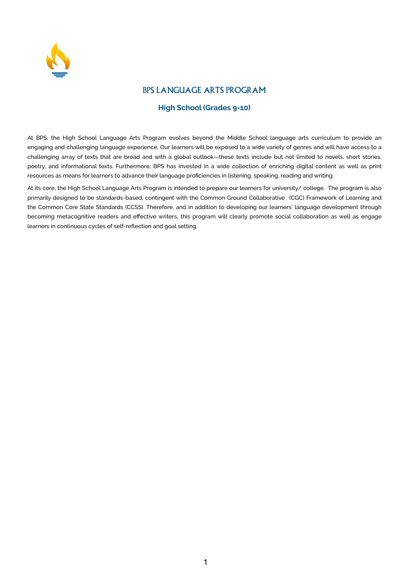

## BPS LANGUAGE ARTS PROGRAM

## **High School (Grades 9-10)**

At BPS, the High School Language Arts Program evolves beyond the Middle School language arts curriculum to provide an engaging and challenging language experience. Our learners will be exposed to a wide variety of genres and will have access to a challenging array of texts that are broad and with a global outlook—these texts include but not limited to novels, short stories, poetry, and informational texts. Furthermore, BPS has invested in a wide collection of enriching digital content as well as print resources as means for learners to advance their language proficiencies in listening, speaking, reading and writing.

At its core, the High School Language Arts Program is intended to prepare our learners for university/ college. The program is also primarily designed to be standards-based, contingent with the Common Ground Collaborative (CGC) Framework of Learning and the Common Core State Standards (CCSS). Therefore, and in addition to developing our learners' language development through becoming metacognitive readers and effective writers, this program will clearly promote social collaboration as well as engage learners in continuous cycles of self-reflection and goal setting.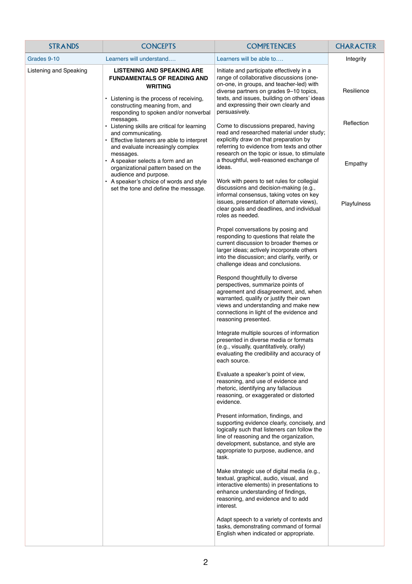| <b>STRANDS</b>         | <b>CONCEPTS</b>                                                                                                                                                                                                  | <b>COMPETENCIES</b>                                                                                                                                                                                                                                                                   | <b>CHARACTER</b> |
|------------------------|------------------------------------------------------------------------------------------------------------------------------------------------------------------------------------------------------------------|---------------------------------------------------------------------------------------------------------------------------------------------------------------------------------------------------------------------------------------------------------------------------------------|------------------|
| Grades 9-10            | Learners will understand                                                                                                                                                                                         | Learners will be able to                                                                                                                                                                                                                                                              | Integrity        |
| Listening and Speaking | <b>LISTENING AND SPEAKING ARE</b><br><b>FUNDAMENTALS OF READING AND</b><br><b>WRITING</b><br>• Listening is the process of receiving,<br>constructing meaning from, and<br>responding to spoken and/or nonverbal | Initiate and participate effectively in a<br>range of collaborative discussions (one-<br>on-one, in groups, and teacher-led) with<br>diverse partners on grades 9-10 topics,<br>texts, and issues, building on others' ideas<br>and expressing their own clearly and<br>persuasively. | Resilience       |
|                        | messages.<br>• Listening skills are critical for learning<br>and communicating.<br>• Effective listeners are able to interpret                                                                                   | Come to discussions prepared, having<br>read and researched material under study;<br>explicitly draw on that preparation by<br>referring to evidence from texts and other                                                                                                             | Reflection       |
|                        | and evaluate increasingly complex<br>messages.<br>• A speaker selects a form and an<br>organizational pattern based on the<br>audience and purpose.                                                              | research on the topic or issue, to stimulate<br>a thoughtful, well-reasoned exchange of<br>ideas.                                                                                                                                                                                     | Empathy          |
|                        | • A speaker's choice of words and style<br>set the tone and define the message.                                                                                                                                  | Work with peers to set rules for collegial<br>discussions and decision-making (e.g.,<br>informal consensus, taking votes on key<br>issues, presentation of alternate views),<br>clear goals and deadlines, and individual<br>roles as needed.                                         | Playfulness      |
|                        |                                                                                                                                                                                                                  | Propel conversations by posing and<br>responding to questions that relate the<br>current discussion to broader themes or<br>larger ideas; actively incorporate others<br>into the discussion; and clarify, verify, or<br>challenge ideas and conclusions.                             |                  |
|                        |                                                                                                                                                                                                                  | Respond thoughtfully to diverse<br>perspectives, summarize points of<br>agreement and disagreement, and, when<br>warranted, qualify or justify their own<br>views and understanding and make new<br>connections in light of the evidence and<br>reasoning presented.                  |                  |
|                        |                                                                                                                                                                                                                  | Integrate multiple sources of information<br>presented in diverse media or formats<br>(e.g., visually, quantitatively, orally)<br>evaluating the credibility and accuracy of<br>each source.                                                                                          |                  |
|                        |                                                                                                                                                                                                                  | Evaluate a speaker's point of view,<br>reasoning, and use of evidence and<br>rhetoric, identifying any fallacious<br>reasoning, or exaggerated or distorted<br>evidence.                                                                                                              |                  |
|                        |                                                                                                                                                                                                                  | Present information, findings, and<br>supporting evidence clearly, concisely, and<br>logically such that listeners can follow the<br>line of reasoning and the organization,<br>development, substance, and style are<br>appropriate to purpose, audience, and<br>task.               |                  |
|                        |                                                                                                                                                                                                                  | Make strategic use of digital media (e.g.,<br>textual, graphical, audio, visual, and<br>interactive elements) in presentations to<br>enhance understanding of findings,<br>reasoning, and evidence and to add<br>interest.                                                            |                  |
|                        |                                                                                                                                                                                                                  | Adapt speech to a variety of contexts and<br>tasks, demonstrating command of formal<br>English when indicated or appropriate.                                                                                                                                                         |                  |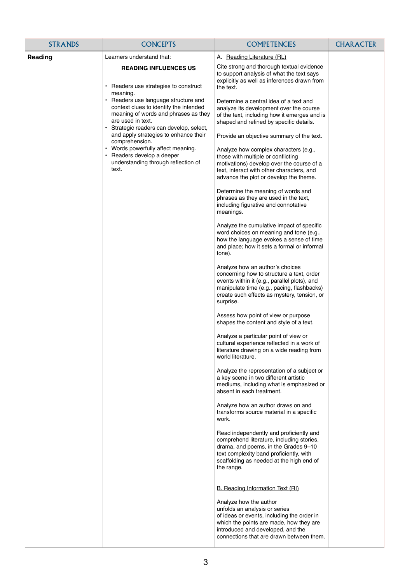| A. Reading Literature (RL)<br>Reading<br>Learners understand that:<br>Cite strong and thorough textual evidence<br><b>READING INFLUENCES US</b><br>to support analysis of what the text says                                                                                                                                                                                                                                                                                                                                                                                                                                                                                                                                                                                                                                                                                                                                                                                                                                                                                                                                                                                                                                                                                                                                                                                                                                                                                                                                                                                                                                                                                                                                                                                                                                                                                                                                                                                                                                                                                                                                                                                                                                                                                                                                                                                                                                                                                                                                    |  |
|---------------------------------------------------------------------------------------------------------------------------------------------------------------------------------------------------------------------------------------------------------------------------------------------------------------------------------------------------------------------------------------------------------------------------------------------------------------------------------------------------------------------------------------------------------------------------------------------------------------------------------------------------------------------------------------------------------------------------------------------------------------------------------------------------------------------------------------------------------------------------------------------------------------------------------------------------------------------------------------------------------------------------------------------------------------------------------------------------------------------------------------------------------------------------------------------------------------------------------------------------------------------------------------------------------------------------------------------------------------------------------------------------------------------------------------------------------------------------------------------------------------------------------------------------------------------------------------------------------------------------------------------------------------------------------------------------------------------------------------------------------------------------------------------------------------------------------------------------------------------------------------------------------------------------------------------------------------------------------------------------------------------------------------------------------------------------------------------------------------------------------------------------------------------------------------------------------------------------------------------------------------------------------------------------------------------------------------------------------------------------------------------------------------------------------------------------------------------------------------------------------------------------------|--|
|                                                                                                                                                                                                                                                                                                                                                                                                                                                                                                                                                                                                                                                                                                                                                                                                                                                                                                                                                                                                                                                                                                                                                                                                                                                                                                                                                                                                                                                                                                                                                                                                                                                                                                                                                                                                                                                                                                                                                                                                                                                                                                                                                                                                                                                                                                                                                                                                                                                                                                                                 |  |
| explicitly as well as inferences drawn from<br>Readers use strategies to construct<br>the text.<br>meaning.<br>Readers use language structure and<br>Determine a central idea of a text and<br>context clues to identify the intended<br>analyze its development over the course<br>meaning of words and phrases as they<br>of the text, including how it emerges and is<br>are used in text.<br>shaped and refined by specific details.<br>Strategic readers can develop, select,<br>and apply strategies to enhance their<br>Provide an objective summary of the text.<br>comprehension.<br>• Words powerfully affect meaning.<br>Analyze how complex characters (e.g.,<br>• Readers develop a deeper<br>those with multiple or conflicting<br>understanding through reflection of<br>motivations) develop over the course of a<br>text.<br>text, interact with other characters, and<br>advance the plot or develop the theme.<br>Determine the meaning of words and<br>phrases as they are used in the text,<br>including figurative and connotative<br>meanings.<br>Analyze the cumulative impact of specific<br>word choices on meaning and tone (e.g.,<br>how the language evokes a sense of time<br>and place; how it sets a formal or informal<br>tone).<br>Analyze how an author's choices<br>concerning how to structure a text, order<br>events within it (e.g., parallel plots), and<br>manipulate time (e.g., pacing, flashbacks)<br>create such effects as mystery, tension, or<br>surprise.<br>Assess how point of view or purpose<br>shapes the content and style of a text.<br>Analyze a particular point of view or<br>cultural experience reflected in a work of<br>literature drawing on a wide reading from<br>world literature.<br>Analyze the representation of a subject or<br>a key scene in two different artistic<br>mediums, including what is emphasized or<br>absent in each treatment.<br>Analyze how an author draws on and<br>transforms source material in a specific<br>work.<br>Read independently and proficiently and<br>comprehend literature, including stories,<br>drama, and poems, in the Grades 9-10<br>text complexity band proficiently, with<br>scaffolding as needed at the high end of<br>the range.<br>B. Reading Information Text (RI)<br>Analyze how the author<br>unfolds an analysis or series<br>of ideas or events, including the order in<br>which the points are made, how they are<br>introduced and developed, and the<br>connections that are drawn between them. |  |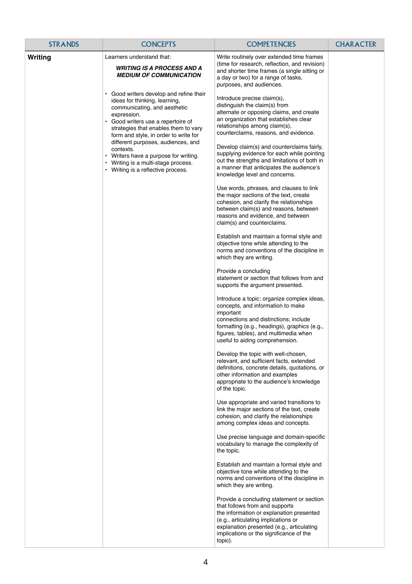| <b>STRANDS</b> | <b>CONCEPTS</b>                                                                                                                                                                                                                                                                                                                                                                                                                                                                                                         | <b>COMPETENCIES</b>                                                                                                                                                                                                                                                                                                                                                                                                                                                                                                                                                                                                                                                                                                                                                                                                                                                                                                                                                                                                                                                                                                                                                                                                                                                                                                                                                                                                                                                                                                                                                                                                                                                                                                                                                                                                                                                                                                                                                                                                                                                                                                                                                                                                                                                                                                                                                                                                     | <b>CHARACTER</b> |
|----------------|-------------------------------------------------------------------------------------------------------------------------------------------------------------------------------------------------------------------------------------------------------------------------------------------------------------------------------------------------------------------------------------------------------------------------------------------------------------------------------------------------------------------------|-------------------------------------------------------------------------------------------------------------------------------------------------------------------------------------------------------------------------------------------------------------------------------------------------------------------------------------------------------------------------------------------------------------------------------------------------------------------------------------------------------------------------------------------------------------------------------------------------------------------------------------------------------------------------------------------------------------------------------------------------------------------------------------------------------------------------------------------------------------------------------------------------------------------------------------------------------------------------------------------------------------------------------------------------------------------------------------------------------------------------------------------------------------------------------------------------------------------------------------------------------------------------------------------------------------------------------------------------------------------------------------------------------------------------------------------------------------------------------------------------------------------------------------------------------------------------------------------------------------------------------------------------------------------------------------------------------------------------------------------------------------------------------------------------------------------------------------------------------------------------------------------------------------------------------------------------------------------------------------------------------------------------------------------------------------------------------------------------------------------------------------------------------------------------------------------------------------------------------------------------------------------------------------------------------------------------------------------------------------------------------------------------------------------------|------------------|
| Writing        | Learners understand that:<br><b>WRITING IS A PROCESS AND A</b><br><b>MEDIUM OF COMMUNICATION</b><br>Good writers develop and refine their<br>ideas for thinking, learning,<br>communicating, and aesthetic<br>expression.<br>Good writers use a repertoire of<br>strategies that enables them to vary<br>form and style, in order to write for<br>different purposes, audiences, and<br>contexts.<br>• Writers have a purpose for writing.<br>• Writing is a multi-stage process.<br>• Writing is a reflective process. | Write routinely over extended time frames<br>(time for research, reflection, and revision)<br>and shorter time frames (a single sitting or<br>a day or two) for a range of tasks,<br>purposes, and audiences.<br>Introduce precise claim(s),<br>distinguish the claim(s) from<br>alternate or opposing claims, and create<br>an organization that establishes clear<br>relationships among claim(s),<br>counterclaims, reasons, and evidence.<br>Develop claim(s) and counterclaims fairly,<br>supplying evidence for each while pointing<br>out the strengths and limitations of both in<br>a manner that anticipates the audience's<br>knowledge level and concerns.<br>Use words, phrases, and clauses to link<br>the major sections of the text, create<br>cohesion, and clarify the relationships<br>between claim(s) and reasons, between<br>reasons and evidence, and between<br>claim(s) and counterclaims.<br>Establish and maintain a formal style and<br>objective tone while attending to the<br>norms and conventions of the discipline in<br>which they are writing.<br>Provide a concluding<br>statement or section that follows from and<br>supports the argument presented.<br>Introduce a topic; organize complex ideas,<br>concepts, and information to make<br>important<br>connections and distinctions; include<br>formatting (e.g., headings), graphics (e.g.,<br>figures, tables), and multimedia when<br>useful to aiding comprehension.<br>Develop the topic with well-chosen,<br>relevant, and sufficient facts, extended<br>definitions, concrete details, quotations, or<br>other information and examples<br>appropriate to the audience's knowledge<br>of the topic.<br>Use appropriate and varied transitions to<br>link the major sections of the text, create<br>cohesion, and clarify the relationships<br>among complex ideas and concepts.<br>Use precise language and domain-specific<br>vocabulary to manage the complexity of<br>the topic.<br>Establish and maintain a formal style and<br>objective tone while attending to the<br>norms and conventions of the discipline in<br>which they are writing.<br>Provide a concluding statement or section<br>that follows from and supports<br>the information or explanation presented<br>(e.g., articulating implications or<br>explanation presented (e.g., articulating<br>implications or the significance of the<br>topic). |                  |